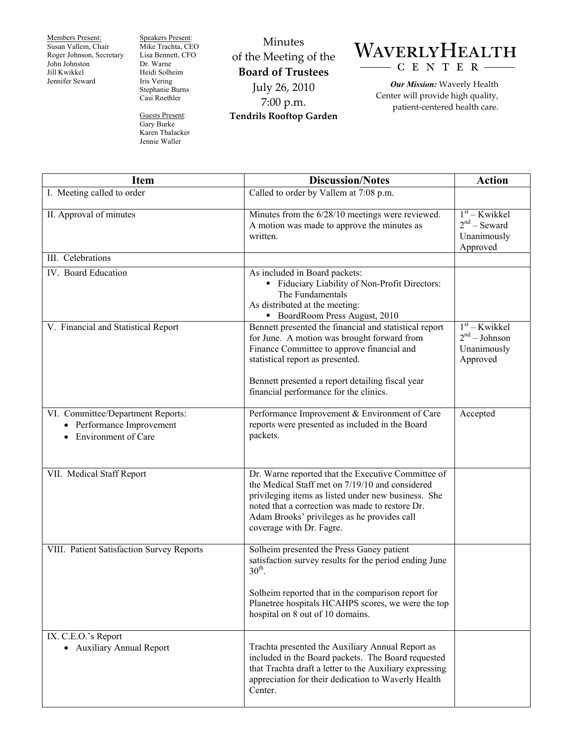Members Present: Susan Vallem, Chair Roger Johnson, Secretary John Johnston Jill Kwikkel Jennifer Seward

Speakers Present: Mike Trachta, CEO Lisa Bennett, CFO Dr. Warne Heidi Solheim Iris Vering Stephanie Burns Casi Roethler

Guests Present: Gary Burke Karen Thalacker Jennie Waller

Minutes of the Meeting of the **Board of Trustees**  July 26, 2010 7:00 p.m. **Tendrils Rooftop Garden** 



*Our Mission:* Waverly Health Center will provide high quality, patient-centered health care.

| <b>Item</b>                                                                           | <b>Discussion/Notes</b>                                                                                                                                                                                                                                                                    | <b>Action</b>                                                 |
|---------------------------------------------------------------------------------------|--------------------------------------------------------------------------------------------------------------------------------------------------------------------------------------------------------------------------------------------------------------------------------------------|---------------------------------------------------------------|
| I. Meeting called to order                                                            | Called to order by Vallem at 7:08 p.m.                                                                                                                                                                                                                                                     |                                                               |
| II. Approval of minutes                                                               | Minutes from the 6/28/10 meetings were reviewed.<br>A motion was made to approve the minutes as<br>written.                                                                                                                                                                                | $1st$ – Kwikkel<br>$2nd$ – Seward<br>Unanimously<br>Approved  |
| III. Celebrations                                                                     |                                                                                                                                                                                                                                                                                            |                                                               |
| IV. Board Education                                                                   | As included in Board packets:<br>" Fiduciary Liability of Non-Profit Directors:<br>The Fundamentals<br>As distributed at the meeting:<br>BoardRoom Press August, 2010                                                                                                                      |                                                               |
| V. Financial and Statistical Report                                                   | Bennett presented the financial and statistical report<br>for June. A motion was brought forward from<br>Finance Committee to approve financial and<br>statistical report as presented.<br>Bennett presented a report detailing fiscal year<br>financial performance for the clinics.      | $1st - Kwikkel$<br>$2nd - Johnson$<br>Unanimously<br>Approved |
| VI. Committee/Department Reports:<br>• Performance Improvement<br>Environment of Care | Performance Improvement & Environment of Care<br>reports were presented as included in the Board<br>packets.                                                                                                                                                                               | Accepted                                                      |
| VII. Medical Staff Report                                                             | Dr. Warne reported that the Executive Committee of<br>the Medical Staff met on 7/19/10 and considered<br>privileging items as listed under new business. She<br>noted that a correction was made to restore Dr.<br>Adam Brooks' privileges as he provides call<br>coverage with Dr. Fagre. |                                                               |
| VIII. Patient Satisfaction Survey Reports                                             | Solheim presented the Press Ganey patient<br>satisfaction survey results for the period ending June<br>$30th$ .<br>Solheim reported that in the comparison report for                                                                                                                      |                                                               |
| IX. C.E.O.'s Report                                                                   | Planetree hospitals HCAHPS scores, we were the top<br>hospital on 8 out of 10 domains.                                                                                                                                                                                                     |                                                               |
| • Auxiliary Annual Report                                                             | Trachta presented the Auxiliary Annual Report as<br>included in the Board packets. The Board requested<br>that Trachta draft a letter to the Auxiliary expressing<br>appreciation for their dedication to Waverly Health<br>Center.                                                        |                                                               |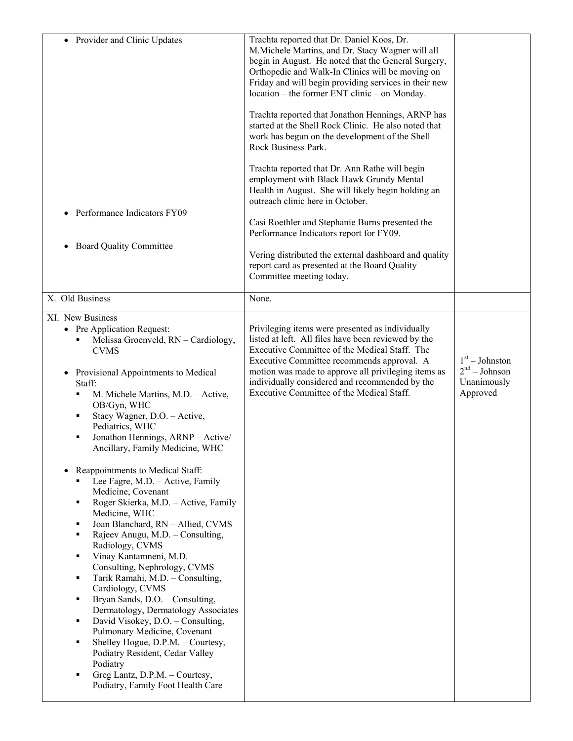| • Provider and Clinic Updates<br>Performance Indicators FY09<br><b>Board Quality Committee</b>                                                                                                                                                                                                                                                                                                                                                                                                                                                                                                                                                                                                                                                                                                                                                                                                                                                                                                                                                            | Trachta reported that Dr. Daniel Koos, Dr.<br>M.Michele Martins, and Dr. Stacy Wagner will all<br>begin in August. He noted that the General Surgery,<br>Orthopedic and Walk-In Clinics will be moving on<br>Friday and will begin providing services in their new<br>location – the former ENT clinic – on Monday.<br>Trachta reported that Jonathon Hennings, ARNP has<br>started at the Shell Rock Clinic. He also noted that<br>work has begun on the development of the Shell<br>Rock Business Park.<br>Trachta reported that Dr. Ann Rathe will begin<br>employment with Black Hawk Grundy Mental<br>Health in August. She will likely begin holding an<br>outreach clinic here in October.<br>Casi Roethler and Stephanie Burns presented the<br>Performance Indicators report for FY09.<br>Vering distributed the external dashboard and quality<br>report card as presented at the Board Quality<br>Committee meeting today. |                                                                          |
|-----------------------------------------------------------------------------------------------------------------------------------------------------------------------------------------------------------------------------------------------------------------------------------------------------------------------------------------------------------------------------------------------------------------------------------------------------------------------------------------------------------------------------------------------------------------------------------------------------------------------------------------------------------------------------------------------------------------------------------------------------------------------------------------------------------------------------------------------------------------------------------------------------------------------------------------------------------------------------------------------------------------------------------------------------------|---------------------------------------------------------------------------------------------------------------------------------------------------------------------------------------------------------------------------------------------------------------------------------------------------------------------------------------------------------------------------------------------------------------------------------------------------------------------------------------------------------------------------------------------------------------------------------------------------------------------------------------------------------------------------------------------------------------------------------------------------------------------------------------------------------------------------------------------------------------------------------------------------------------------------------------|--------------------------------------------------------------------------|
| X. Old Business                                                                                                                                                                                                                                                                                                                                                                                                                                                                                                                                                                                                                                                                                                                                                                                                                                                                                                                                                                                                                                           | None.                                                                                                                                                                                                                                                                                                                                                                                                                                                                                                                                                                                                                                                                                                                                                                                                                                                                                                                                 |                                                                          |
| XI. New Business<br>• Pre Application Request:<br>Melissa Groenveld, RN - Cardiology,<br><b>CVMS</b><br>Provisional Appointments to Medical<br>Staff:<br>M. Michele Martins, M.D. - Active,<br>٠<br>OB/Gyn, WHC<br>Stacy Wagner, D.O. - Active,<br>٠<br>Pediatrics, WHC<br>Jonathon Hennings, ARNP - Active/<br>Ancillary, Family Medicine, WHC<br>Reappointments to Medical Staff:<br>Lee Fagre, M.D. - Active, Family<br>Medicine, Covenant<br>Roger Skierka, M.D. - Active, Family<br>٠<br>Medicine, WHC<br>Joan Blanchard, RN - Allied, CVMS<br>Rajeev Anugu, M.D. - Consulting,<br>٠<br>Radiology, CVMS<br>Vinay Kantamneni, M.D. -<br>٠<br>Consulting, Nephrology, CVMS<br>Tarik Ramahi, M.D. - Consulting,<br>Cardiology, CVMS<br>Bryan Sands, D.O. - Consulting,<br>٠<br>Dermatology, Dermatology Associates<br>David Visokey, D.O. - Consulting,<br>٠<br>Pulmonary Medicine, Covenant<br>Shelley Hogue, D.P.M. - Courtesy,<br>Podiatry Resident, Cedar Valley<br>Podiatry<br>Greg Lantz, D.P.M. - Courtesy,<br>Podiatry, Family Foot Health Care | Privileging items were presented as individually<br>listed at left. All files have been reviewed by the<br>Executive Committee of the Medical Staff. The<br>Executive Committee recommends approval. A<br>motion was made to approve all privileging items as<br>individually considered and recommended by the<br>Executive Committee of the Medical Staff.                                                                                                                                                                                                                                                                                                                                                                                                                                                                                                                                                                          | $1st - Johnston$<br>2 <sup>nd</sup> – Johnson<br>Unanimously<br>Approved |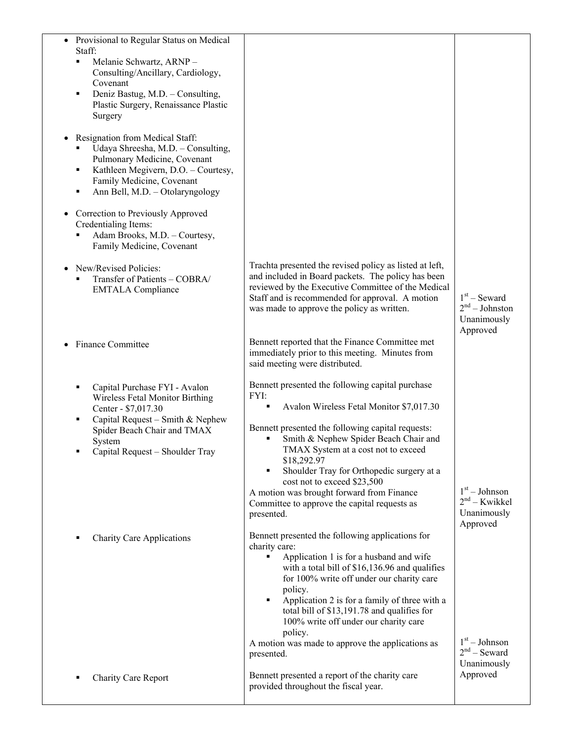| Provisional to Regular Status on Medical<br>Staff:<br>Melanie Schwartz, ARNP-<br>٠<br>Consulting/Ancillary, Cardiology,<br>Covenant<br>Deniz Bastug, M.D. - Consulting,<br>٠<br>Plastic Surgery, Renaissance Plastic<br>Surgery<br>Resignation from Medical Staff:<br>Udaya Shreesha, M.D. - Consulting,<br>Pulmonary Medicine, Covenant<br>Kathleen Megivern, D.O. - Courtesy,<br>٠<br>Family Medicine, Covenant<br>Ann Bell, M.D. - Otolaryngology<br>٠<br>Correction to Previously Approved<br>Credentialing Items: |                                                                                                                                                                                                                                                                                                                                                                                                                                                      |                                                   |
|------------------------------------------------------------------------------------------------------------------------------------------------------------------------------------------------------------------------------------------------------------------------------------------------------------------------------------------------------------------------------------------------------------------------------------------------------------------------------------------------------------------------|------------------------------------------------------------------------------------------------------------------------------------------------------------------------------------------------------------------------------------------------------------------------------------------------------------------------------------------------------------------------------------------------------------------------------------------------------|---------------------------------------------------|
| Adam Brooks, M.D. - Courtesy,<br>Family Medicine, Covenant<br>New/Revised Policies:<br>Transfer of Patients - COBRA/<br><b>EMTALA Compliance</b>                                                                                                                                                                                                                                                                                                                                                                       | Trachta presented the revised policy as listed at left,<br>and included in Board packets. The policy has been<br>reviewed by the Executive Committee of the Medical<br>Staff and is recommended for approval. A motion                                                                                                                                                                                                                               | $1st$ – Seward                                    |
| <b>Finance Committee</b>                                                                                                                                                                                                                                                                                                                                                                                                                                                                                               | was made to approve the policy as written.<br>Bennett reported that the Finance Committee met<br>immediately prior to this meeting. Minutes from<br>said meeting were distributed.                                                                                                                                                                                                                                                                   | $2nd - Johnston$<br>Unanimously<br>Approved       |
| Capital Purchase FYI - Avalon<br>п<br>Wireless Fetal Monitor Birthing<br>Center - \$7,017.30<br>Capital Request - Smith & Nephew<br>Spider Beach Chair and TMAX<br>System<br>Capital Request - Shoulder Tray                                                                                                                                                                                                                                                                                                           | Bennett presented the following capital purchase<br>FYI:<br>Avalon Wireless Fetal Monitor \$7,017.30<br>٠<br>Bennett presented the following capital requests:<br>Smith & Nephew Spider Beach Chair and<br>TMAX System at a cost not to exceed<br>\$18,292.97<br>Shoulder Tray for Orthopedic surgery at a<br>cost not to exceed \$23,500<br>A motion was brought forward from Finance<br>Committee to approve the capital requests as<br>presented. | $1st - Johnson$<br>$2nd - Kwikkel$<br>Unanimously |
| <b>Charity Care Applications</b>                                                                                                                                                                                                                                                                                                                                                                                                                                                                                       | Bennett presented the following applications for<br>charity care:<br>Application 1 is for a husband and wife<br>with a total bill of \$16,136.96 and qualifies<br>for 100% write off under our charity care<br>policy.<br>Application 2 is for a family of three with a<br>٠<br>total bill of \$13,191.78 and qualifies for<br>100% write off under our charity care<br>policy.<br>A motion was made to approve the applications as                  | Approved<br>$1st - Johnson$                       |
| Charity Care Report                                                                                                                                                                                                                                                                                                                                                                                                                                                                                                    | presented.<br>Bennett presented a report of the charity care<br>provided throughout the fiscal year.                                                                                                                                                                                                                                                                                                                                                 | $2nd$ – Seward<br>Unanimously<br>Approved         |